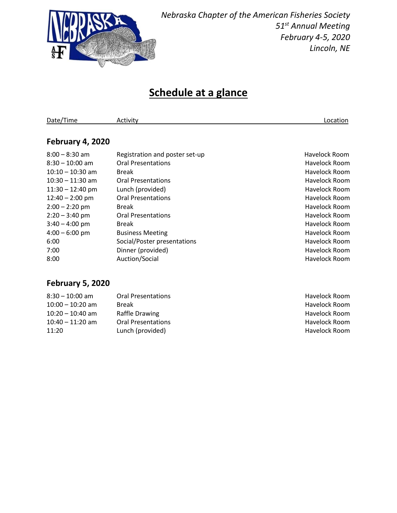

*Nebraska Chapter of the American Fisheries Society 51 st Annual Meeting February 4-5, 2020 Lincoln, NE*

## **Schedule at a glance**

Date/Time Activity Activity Activity Activity Activity Activity Activity Activity Activity Activity Activity Activity

#### **February 4, 2020**

| $8:00 - 8:30$ am   | Registration and poster set-up | Havelock Room        |
|--------------------|--------------------------------|----------------------|
| $8:30 - 10:00$ am  | <b>Oral Presentations</b>      | Havelock Room        |
| $10:10 - 10:30$ am | Break                          | <b>Havelock Room</b> |
| $10:30 - 11:30$ am | <b>Oral Presentations</b>      | Havelock Room        |
| $11:30 - 12:40$ pm | Lunch (provided)               | Havelock Room        |
| $12:40 - 2:00$ pm  | <b>Oral Presentations</b>      | <b>Havelock Room</b> |
| $2:00 - 2:20$ pm   | <b>Break</b>                   | Havelock Room        |
| $2:20 - 3:40$ pm   | <b>Oral Presentations</b>      | Havelock Room        |
| $3:40 - 4:00$ pm   | <b>Break</b>                   | Havelock Room        |
| $4:00 - 6:00$ pm   | <b>Business Meeting</b>        | Havelock Room        |
| 6:00               | Social/Poster presentations    | Havelock Room        |
| 7:00               | Dinner (provided)              | Havelock Room        |
| 8:00               | Auction/Social                 | <b>Havelock Room</b> |
|                    |                                |                      |

### **February 5, 2020**

| $8:30 - 10:00$ am  | <b>Oral Presentations</b> | Havelock Room |
|--------------------|---------------------------|---------------|
| $10:00 - 10:20$ am | <b>Break</b>              | Havelock Room |
| $10:20 - 10:40$ am | Raffle Drawing            | Havelock Room |
| $10:40 - 11:20$ am | <b>Oral Presentations</b> | Havelock Room |
| 11:20              | Lunch (provided)          | Havelock Room |
|                    |                           |               |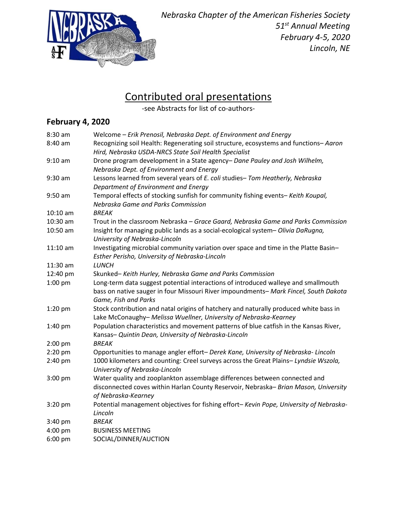

# Contributed oral presentations

-see Abstracts for list of co-authors-

### **February 4, 2020**

| 8:30 am    | Welcome - Erik Prenosil, Nebraska Dept. of Environment and Energy                                                  |
|------------|--------------------------------------------------------------------------------------------------------------------|
| 8:40 am    | Recognizing soil Health: Regenerating soil structure, ecosystems and functions-Aaron                               |
|            | Hird, Nebraska USDA-NRCS State Soil Health Specialist                                                              |
| $9:10$ am  | Drone program development in a State agency- Dane Pauley and Josh Wilhelm,                                         |
|            | Nebraska Dept. of Environment and Energy                                                                           |
| $9:30$ am  | Lessons learned from several years of E. coli studies- Tom Heatherly, Nebraska                                     |
|            | Department of Environment and Energy                                                                               |
| $9:50$ am  | Temporal effects of stocking sunfish for community fishing events- Keith Koupal,                                   |
|            | Nebraska Game and Parks Commission                                                                                 |
| $10:10$ am | <b>BREAK</b>                                                                                                       |
| 10:30 am   | Trout in the classroom Nebraska - Grace Gaard, Nebraska Game and Parks Commission                                  |
| 10:50 am   | Insight for managing public lands as a social-ecological system- Olivia DaRugna,<br>University of Nebraska-Lincoln |
| $11:10$ am | Investigating microbial community variation over space and time in the Platte Basin-                               |
|            | Esther Perisho, University of Nebraska-Lincoln                                                                     |
| $11:30$ am | <b>LUNCH</b>                                                                                                       |
| 12:40 pm   | Skunked-Keith Hurley, Nebraska Game and Parks Commission                                                           |
| 1:00 pm    | Long-term data suggest potential interactions of introduced walleye and smallmouth                                 |
|            | bass on native sauger in four Missouri River impoundments- Mark Fincel, South Dakota<br>Game, Fish and Parks       |
| 1:20 pm    | Stock contribution and natal origins of hatchery and naturally produced white bass in                              |
|            | Lake McConaughy- Melissa Wuellner, University of Nebraska-Kearney                                                  |
| 1:40 pm    | Population characteristics and movement patterns of blue catfish in the Kansas River,                              |
|            | Kansas- Quintin Dean, University of Nebraska-Lincoln                                                               |
| $2:00$ pm  | <b>BREAK</b>                                                                                                       |
| 2:20 pm    | Opportunities to manage angler effort- Derek Kane, University of Nebraska-Lincoln                                  |
| 2:40 pm    | 1000 kilometers and counting: Creel surveys across the Great Plains-Lyndsie Wszola,                                |
|            | University of Nebraska-Lincoln                                                                                     |
| 3:00 pm    | Water quality and zooplankton assemblage differences between connected and                                         |
|            | disconnected coves within Harlan County Reservoir, Nebraska- Brian Mason, University                               |
|            | of Nebraska-Kearney                                                                                                |
| 3:20 pm    | Potential management objectives for fishing effort- Kevin Pope, University of Nebraska-                            |
|            | Lincoln                                                                                                            |
| $3:40$ pm  | <b>BREAK</b>                                                                                                       |
| 4:00 pm    | <b>BUSINESS MEETING</b>                                                                                            |
| $6:00$ pm  | SOCIAL/DINNER/AUCTION                                                                                              |